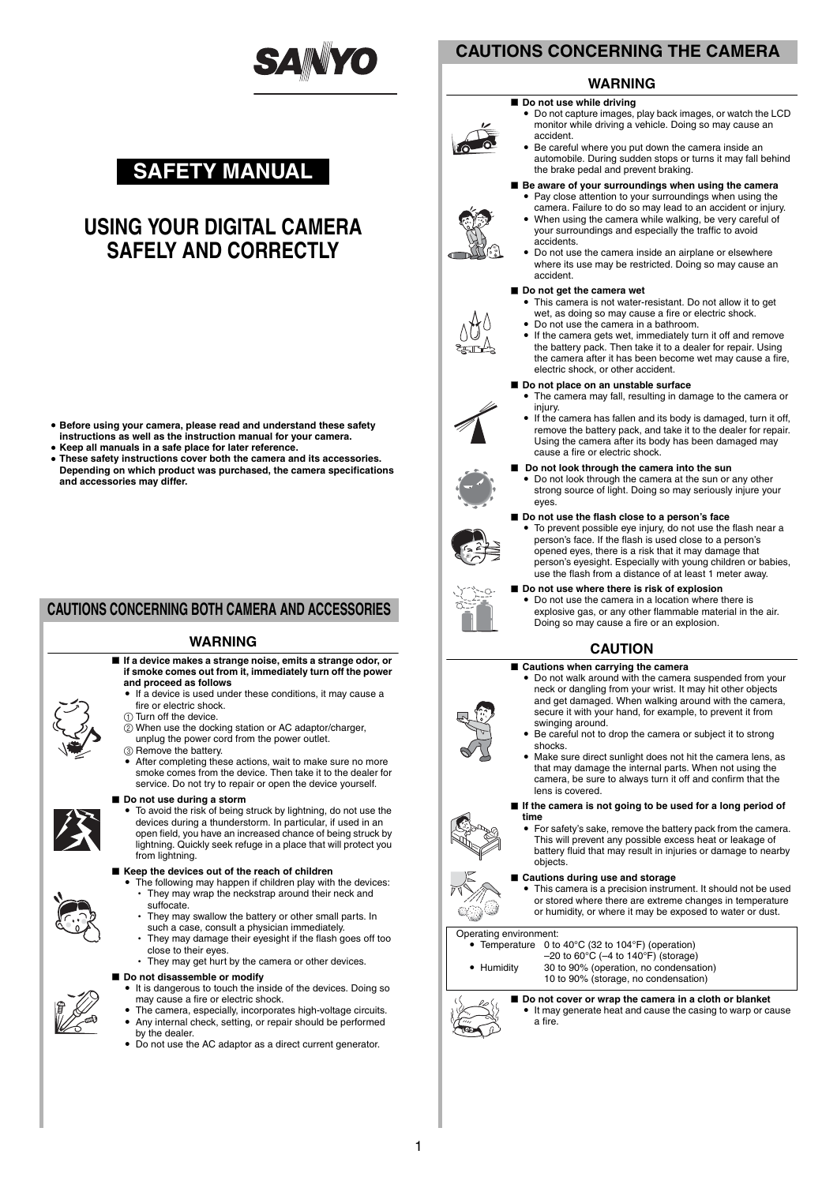

# **SAFETY MANUAL**

# **USING YOUR DIGITAL CAMERA SAFELY AND CORRECTLY**

- i **Before using your camera, please read and understand these safety instructions as well as the instruction manual for your camera.**
- $\bullet$  Keep all manuals in a safe place for later reference.
- These safety instructions cover both the camera and its accessories. **Depending on which product was purchased, the camera specifications and accessories may differ.**

## **CAUTIONS CONCERNING BOTH CAMERA AND ACCESSORIES**

### **WARNING**

- If a device makes a strange noise, emits a strange odor, or **if smoke comes out from it, immediately turn off the power and proceed as follows**
	- If a device is used under these conditions, it may cause a fire or electric shock.
	- 1 Turn off the device.
	- 2 When use the docking station or AC adaptor/charger, unplug the power cord from the power outlet.
	-
	- 3 Remove the battery.
	- After completing these actions, wait to make sure no more smoke comes from the device. Then take it to the dealer for service. Do not try to repair or open the device yourself.

#### $\blacksquare$  Do not use during a storm

i To avoid the risk of being struck by lightning, do not use the devices during a thunderstorm. In particular, if used in an open field, you have an increased chance of being struck by lightning. Quickly seek refuge in a place that will protect you from lightning.

### ■ Keep the devices out of the reach of children

- The following may happen if children play with the devices: • They may wrap the neckstrap around their neck and suffocate.
- They may swallow the battery or other small parts. In
- such a case, consult a physician immediately. They may damage their eyesight if the flash goes off too
- close to their eyes. • They may get hurt by the camera or other devices.
- 

## ■ Do not disassemble or modify

- It is dangerous to touch the inside of the devices. Doing so may cause a fire or electric shock.
- The camera, especially, incorporates high-voltage circuits. Any internal check, setting, or repair should be performed
- by the dealer.
- Do not use the AC adaptor as a direct current generator.

## **CAUTIONS CONCERNING THE CAMERA**

## **WARNING**

#### $\blacksquare$  Do not use while driving

• Do not capture images, play back images, or watch the LCD monitor while driving a vehicle. Doing so may cause an accident.

**Be aware of your surroundings when using the camera** • Pay close attention to your surroundings when using the camera. Failure to do so may lead to an accident or injury. • When using the camera while walking, be very careful of your surroundings and especially the traffic to avoid

Be careful where you put down the camera inside an automobile. During sudden stops or turns it may fall behind the brake pedal and prevent braking.





≥——

#### accident. ■ Do not get the camera wet

accidents.

• This camera is not water-resistant. Do not allow it to get wet, as doing so may cause a fire or electric shock.

Do not use the camera inside an airplane or elsewhere where its use may be restricted. Doing so may cause an

- Do not use the camera in a bathroom.
	- If the camera gets wet, immediately turn it off and remove the battery pack. Then take it to a dealer for repair. Using the camera after it has been become wet may cause a fire, electric shock, or other accident.

#### $\blacksquare$  Do not place on an unstable surface

- The camera may fall, resulting in damage to the camera or injury.
- If the camera has fallen and its body is damaged, turn it off, remove the battery pack, and take it to the dealer for repair. Using the camera after its body has been damaged may cause a fire or electric shock.
- Do not look through the camera into the sun

Do not look through the camera at the sun or any other strong source of light. Doing so may seriously injure your eyes.

#### ■ Do not use the flash close to a person's face



 $\bullet$  To prevent possible eye injury, do not use the flash near a person's face. If the flash is used close to a person's opened eyes, there is a risk that it may damage that person's eyesight. Especially with young children or babies, use the flash from a distance of at least 1 meter away.



■ Do not use where there is risk of explosion Do not use the camera in a location where there is explosive gas, or any other flammable material in the air. Doing so may cause a fire or an explosion.

## **CAUTION**

- Cautions when carrying the camera i Do not walk around with the camera suspended from your neck or dangling from your wrist. It may hit other objects and get damaged. When walking around with the camera, secure it with your hand, for example, to prevent it from swinging around.
	- Be careful not to drop the camera or subject it to strong shocks.
	- Make sure direct sunlight does not hit the camera lens, as that may damage the internal parts. When not using the camera, be sure to always turn it off and confirm that the lens is covered.

#### **If the camera is not going to be used for a long period of time**

For safety's sake, remove the battery pack from the camera. This will prevent any possible excess heat or leakage of battery fluid that may result in injuries or damage to nearby objects.

#### ■ Cautions during use and storage

 $\bullet$  This camera is a precision instrument. It should not be used or stored where there are extreme changes in temperature or humidity, or where it may be exposed to water or dust.

## Operating environment:

- Temperature 0 to 40°C (32 to 104°F) (operation)  $-20$  to 60 $^{\circ}$ C ( $-4$  to 140 $^{\circ}$ F) (storage)
- Humidity 30 to 90% (operation, no condensation) 10 to 90% (storage, no condensation)
	-

■ Do not cover or wrap the camera in a cloth or blanket It may generate heat and cause the casing to warp or cause a fire.



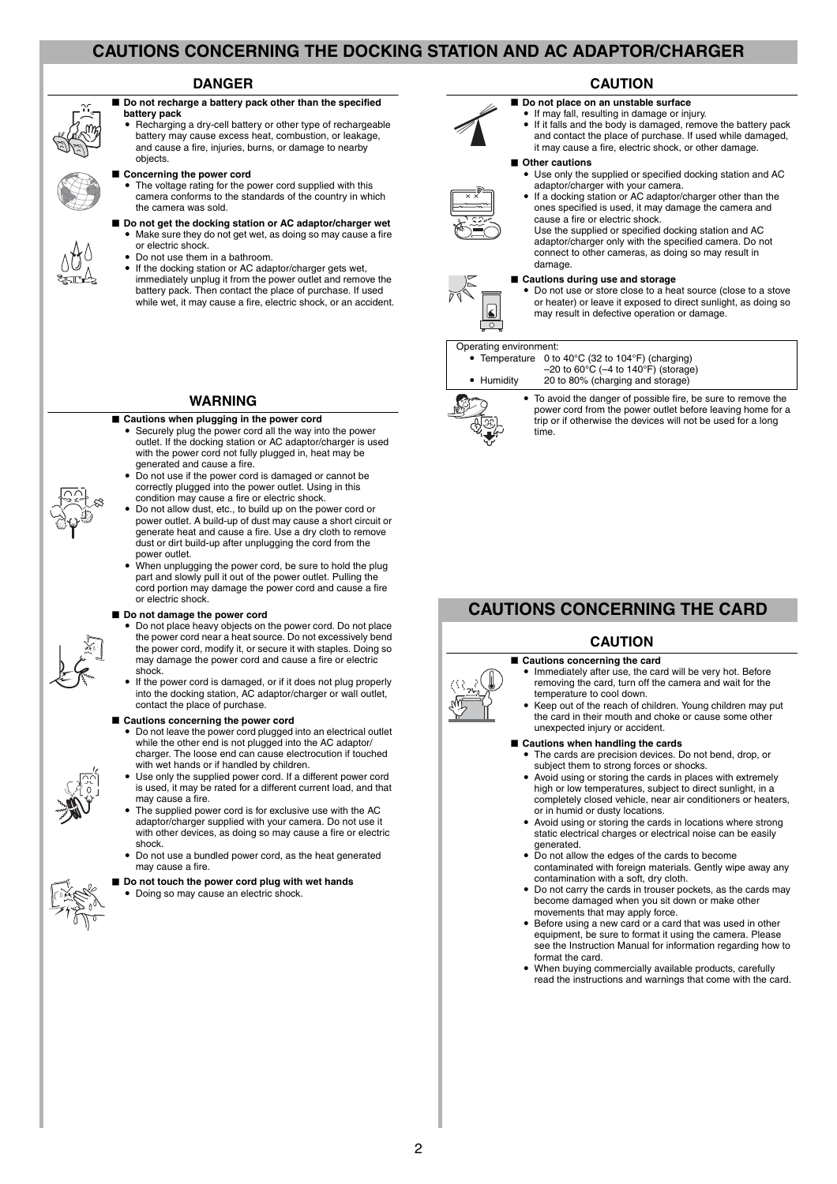## **CAUTIONS CONCERNING THE DOCKING STATION AND AC ADAPTOR/CHARGER**

### **DANGER**

■ Do not recharge a battery pack other than the specified **battery pack**

Recharging a dry-cell battery or other type of rechargeable battery may cause excess heat, combustion, or leakage and cause a fire, injuries, burns, or damage to nearby objects.

#### **Example 2 Concerning the power cord**



- Do not get the docking station or AC adaptor/charger wet • Make sure they do not get wet, as doing so may cause a fire
	- or electric shock. Do not use them in a bathroom.
	- If the docking station or AC adaptor/charger gets wet,
	- immediately unplug it from the power outlet and remove the battery pack. Then contact the place of purchase. If used while wet, it may cause a fire, electric shock, or an accident.

### **WARNING**

- Cautions when plugging in the power cord
	- Securely plug the power cord all the way into the power outlet. If the docking station or AC adaptor/charger is used with the power cord not fully plugged in, heat may be
	- generated and cause a fire.<br>• Do not use if the power cord is damaged or cannot be correctly plugged into the power outlet. Using in this
- condition may cause a fire or electric shock. i Do not allow dust, etc., to build up on the power cord or power outlet. A build-up of dust may cause a short circuit or generate heat and cause a fire. Use a dry cloth to remove dust or dirt build-up after unplugging the cord from the power outlet.
- When unplugging the power cord, be sure to hold the plug part and slowly pull it out of the power outlet. Pulling the cord portion may damage the power cord and cause a fire or electric shock.

#### ■ Do not damage the power cord

 $\bullet$  Do not place heavy objects on the power cord. Do not place the power cord near a heat source. Do not excessively bend the power cord, modify it, or secure it with staples. Doing so may damage the power cord and cause a fire or electric shock.

i If the power cord is damaged, or if it does not plug properly into the docking station, AC adaptor/charger or wall outlet, contact the place of purchase.

#### **E** Cautions concerning the power cord

- $\bullet$  Do not leave the power cord plugged into an electrical outlet while the other end is not plugged into the AC adaptor/ charger. The loose end can cause electrocution if touched with wet hands or if handled by children.
- Use only the supplied power cord. If a different power cord is used, it may be rated for a different current load, and that may cause a fire.
- The supplied power cord is for exclusive use with the AC adaptor/charger supplied with your camera. Do not use it with other devices, as doing so may cause a fire or electric shock.
- Do not use a bundled power cord, as the heat generated may cause a fire.
- **Do not touch the power cord plug with wet hands**
- Doing so may cause an electric shock.

## **CAUTION**

- $\blacksquare$  Do not place on an unstable surface
- If may fall, resulting in damage or injury.
- If it falls and the body is damaged, remove the battery pack and contact the place of purchase. If used while damaged, it may cause a fire, electric shock, or other damage.

#### **K** Other cautions

Use only the supplied or specified docking station and AC adaptor/charger with your camera.



If a docking station or AC adaptor/charger other than the ones specified is used, it may damage the camera and cause a fire or electric shock.

Use the supplied or specified docking station and AC adaptor/charger only with the specified camera. Do not connect to other cameras, as doing so may result in damage.

#### **Cautions during use and storage**



Do not use or store close to a heat source (close to a stove or heater) or leave it exposed to direct sunlight, as doing so may result in defective operation or damage.

#### Operating environment:

• Temperature 0 to 40°C (32 to 104°F) (charging)

–20 to 60°C (–4 to 140°F) (storage) i Humidity 20 to 80% (charging and storage)



• To avoid the danger of possible fire, be sure to remove the power cord from the power outlet before leaving home for a trip or if otherwise the devices will not be used for a long time.

## **CAUTIONS CONCERNING THE CARD**

## **CAUTION**



■ Cautions concerning the card i Immediately after use, the card will be very hot. Before removing the card, turn off the camera and wait for the temperature to cool down.

i Keep out of the reach of children. Young children may put the card in their mouth and choke or cause some other unexpected injury or accident.

#### ■ Cautions when handling the cards

- The cards are precision devices. Do not bend, drop, or subject them to strong forces or shocks.
- Avoid using or storing the cards in places with extremely high or low temperatures, subject to direct sunlight, in a completely closed vehicle, near air conditioners or heaters, or in humid or dusty locations.
- Avoid using or storing the cards in locations where strong static electrical charges or electrical noise can be easily generated.
- $\bullet$  Do not allow the edges of the cards to become contaminated with foreign materials. Gently wipe away any contamination with a soft, dry cloth.
- Do not carry the cards in trouser pockets, as the cards may become damaged when you sit down or make other movements that may apply force.
- Before using a new card or a card that was used in other equipment, be sure to format it using the camera. Please see the Instruction Manual for information regarding how to format the card.
- When buying commercially available products, carefully read the instructions and warnings that come with the card.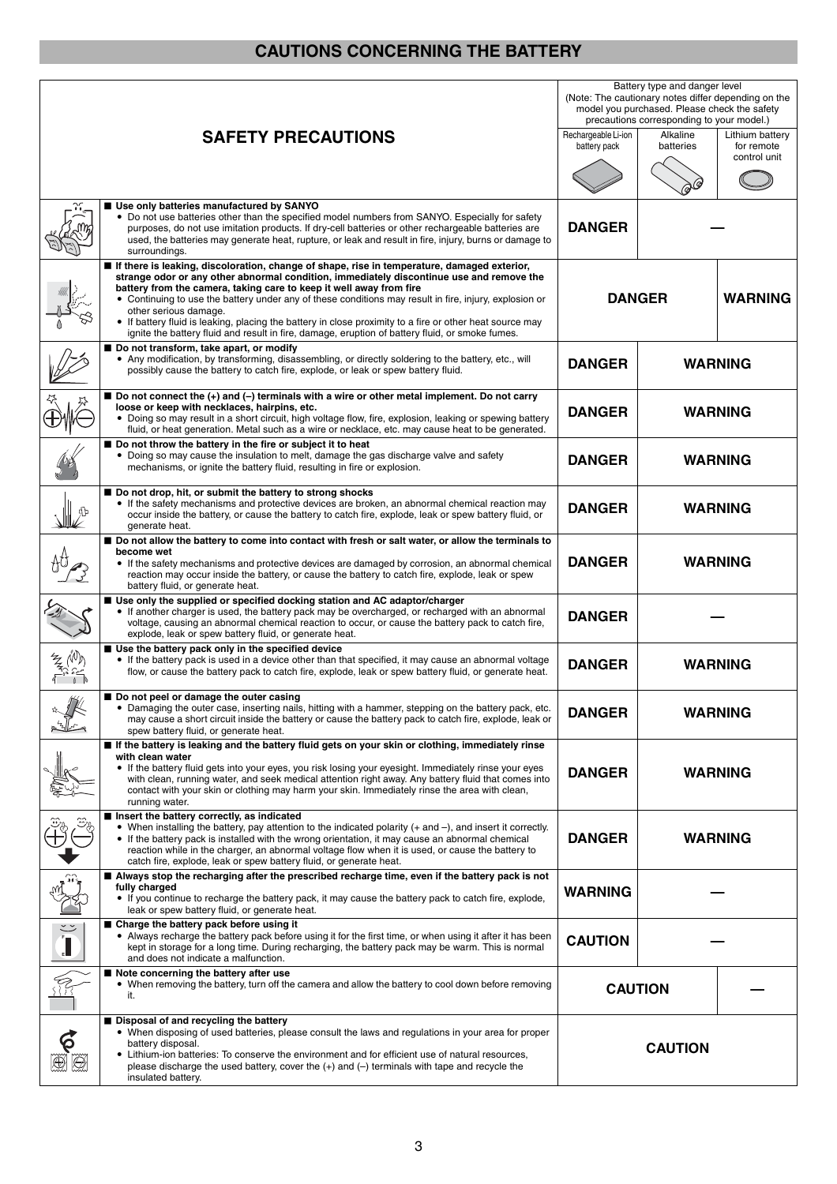## **CAUTIONS CONCERNING THE BATTERY**

|                              |                                                                                                                                                                                                                                                                                                                                                                                                                                                                                                                                                                                                                  | Battery type and danger level<br>(Note: The cautionary notes differ depending on the<br>model you purchased. Please check the safety<br>precautions corresponding to your model.) |                       |                                               |
|------------------------------|------------------------------------------------------------------------------------------------------------------------------------------------------------------------------------------------------------------------------------------------------------------------------------------------------------------------------------------------------------------------------------------------------------------------------------------------------------------------------------------------------------------------------------------------------------------------------------------------------------------|-----------------------------------------------------------------------------------------------------------------------------------------------------------------------------------|-----------------------|-----------------------------------------------|
|                              | <b>SAFETY PRECAUTIONS</b>                                                                                                                                                                                                                                                                                                                                                                                                                                                                                                                                                                                        | Rechargeable Li-ion<br>battery pack                                                                                                                                               | Alkaline<br>batteries | Lithium battery<br>for remote<br>control unit |
|                              |                                                                                                                                                                                                                                                                                                                                                                                                                                                                                                                                                                                                                  |                                                                                                                                                                                   |                       |                                               |
|                              | Use only batteries manufactured by SANYO<br>• Do not use batteries other than the specified model numbers from SANYO. Especially for safety<br>purposes, do not use imitation products. If dry-cell batteries or other rechargeable batteries are<br>used, the batteries may generate heat, rupture, or leak and result in fire, injury, burns or damage to<br>surroundings.                                                                                                                                                                                                                                     | <b>DANGER</b>                                                                                                                                                                     |                       |                                               |
|                              | If there is leaking, discoloration, change of shape, rise in temperature, damaged exterior,<br>strange odor or any other abnormal condition, immediately discontinue use and remove the<br>battery from the camera, taking care to keep it well away from fire<br>• Continuing to use the battery under any of these conditions may result in fire, injury, explosion or<br>other serious damage.<br>• If battery fluid is leaking, placing the battery in close proximity to a fire or other heat source may<br>ignite the battery fluid and result in fire, damage, eruption of battery fluid, or smoke fumes. | <b>DANGER</b><br><b>WARNING</b>                                                                                                                                                   |                       |                                               |
|                              | Do not transform, take apart, or modify<br>• Any modification, by transforming, disassembling, or directly soldering to the battery, etc., will<br>possibly cause the battery to catch fire, explode, or leak or spew battery fluid.                                                                                                                                                                                                                                                                                                                                                                             | <b>DANGER</b>                                                                                                                                                                     | <b>WARNING</b>        |                                               |
|                              | ■ Do not connect the (+) and (-) terminals with a wire or other metal implement. Do not carry<br>loose or keep with necklaces, hairpins, etc.<br>• Doing so may result in a short circuit, high voltage flow, fire, explosion, leaking or spewing battery<br>fluid, or heat generation. Metal such as a wire or necklace, etc. may cause heat to be generated.                                                                                                                                                                                                                                                   | <b>DANGER</b>                                                                                                                                                                     | <b>WARNING</b>        |                                               |
|                              | Do not throw the battery in the fire or subject it to heat<br>• Doing so may cause the insulation to melt, damage the gas discharge valve and safety<br>mechanisms, or ignite the battery fluid, resulting in fire or explosion.                                                                                                                                                                                                                                                                                                                                                                                 | <b>DANGER</b>                                                                                                                                                                     | <b>WARNING</b>        |                                               |
|                              | ■ Do not drop, hit, or submit the battery to strong shocks<br>• If the safety mechanisms and protective devices are broken, an abnormal chemical reaction may<br>occur inside the battery, or cause the battery to catch fire, explode, leak or spew battery fluid, or<br>generate heat.                                                                                                                                                                                                                                                                                                                         | <b>DANGER</b>                                                                                                                                                                     | <b>WARNING</b>        |                                               |
|                              | Do not allow the battery to come into contact with fresh or salt water, or allow the terminals to<br>become wet<br>• If the safety mechanisms and protective devices are damaged by corrosion, an abnormal chemical<br>reaction may occur inside the battery, or cause the battery to catch fire, explode, leak or spew<br>battery fluid, or generate heat.                                                                                                                                                                                                                                                      | <b>DANGER</b>                                                                                                                                                                     | <b>WARNING</b>        |                                               |
|                              | ■ Use only the supplied or specified docking station and AC adaptor/charger<br>• If another charger is used, the battery pack may be overcharged, or recharged with an abnormal<br>voltage, causing an abnormal chemical reaction to occur, or cause the battery pack to catch fire,<br>explode, leak or spew battery fluid, or generate heat.                                                                                                                                                                                                                                                                   | <b>DANGER</b>                                                                                                                                                                     |                       |                                               |
|                              | Use the battery pack only in the specified device<br>• If the battery pack is used in a device other than that specified, it may cause an abnormal voltage<br>flow, or cause the battery pack to catch fire, explode, leak or spew battery fluid, or generate heat.                                                                                                                                                                                                                                                                                                                                              | <b>DANGER</b>                                                                                                                                                                     | <b>WARNING</b>        |                                               |
| 14 I                         | Do not peel or damage the outer casing<br>· Damaging the outer case, inserting nails, hitting with a hammer, stepping on the battery pack, etc.<br>may cause a short circuit inside the battery or cause the battery pack to catch fire, explode, leak or<br>spew battery fluid, or generate heat.                                                                                                                                                                                                                                                                                                               | <b>DANGER</b>                                                                                                                                                                     | <b>WARNING</b>        |                                               |
|                              | If the battery is leaking and the battery fluid gets on your skin or clothing, immediately rinse<br>with clean water<br>• If the battery fluid gets into your eyes, you risk losing your eyesight. Immediately rinse your eyes<br>with clean, running water, and seek medical attention right away. Any battery fluid that comes into<br>contact with your skin or clothing may harm your skin. Immediately rinse the area with clean,<br>running water.                                                                                                                                                         | <b>DANGER</b>                                                                                                                                                                     | <b>WARNING</b>        |                                               |
|                              | Insert the battery correctly, as indicated<br>• When installing the battery, pay attention to the indicated polarity (+ and -), and insert it correctly.<br>• If the battery pack is installed with the wrong orientation, it may cause an abnormal chemical<br>reaction while in the charger, an abnormal voltage flow when it is used, or cause the battery to<br>catch fire, explode, leak or spew battery fluid, or generate heat.                                                                                                                                                                           | <b>DANGER</b>                                                                                                                                                                     | <b>WARNING</b>        |                                               |
|                              | ■ Always stop the recharging after the prescribed recharge time, even if the battery pack is not<br>fully charged<br>• If you continue to recharge the battery pack, it may cause the battery pack to catch fire, explode,<br>leak or spew battery fluid, or generate heat.                                                                                                                                                                                                                                                                                                                                      | WARNING                                                                                                                                                                           |                       |                                               |
| $\sum_{i=1}^{n}$             | ■ Charge the battery pack before using it<br>• Always recharge the battery pack before using it for the first time, or when using it after it has been<br>kept in storage for a long time. During recharging, the battery pack may be warm. This is normal<br>and does not indicate a malfunction.                                                                                                                                                                                                                                                                                                               | <b>CAUTION</b>                                                                                                                                                                    |                       |                                               |
|                              | ■ Note concerning the battery after use<br>• When removing the battery, turn off the camera and allow the battery to cool down before removing<br>it.                                                                                                                                                                                                                                                                                                                                                                                                                                                            |                                                                                                                                                                                   | <b>CAUTION</b>        |                                               |
| $\boldsymbol{\hat{\varphi}}$ | Disposal of and recycling the battery<br>• When disposing of used batteries, please consult the laws and regulations in your area for proper<br>battery disposal.<br>• Lithium-ion batteries: To conserve the environment and for efficient use of natural resources,<br>please discharge the used battery, cover the $(+)$ and $(-)$ terminals with tape and recycle the<br>insulated battery.                                                                                                                                                                                                                  | <b>CAUTION</b>                                                                                                                                                                    |                       |                                               |